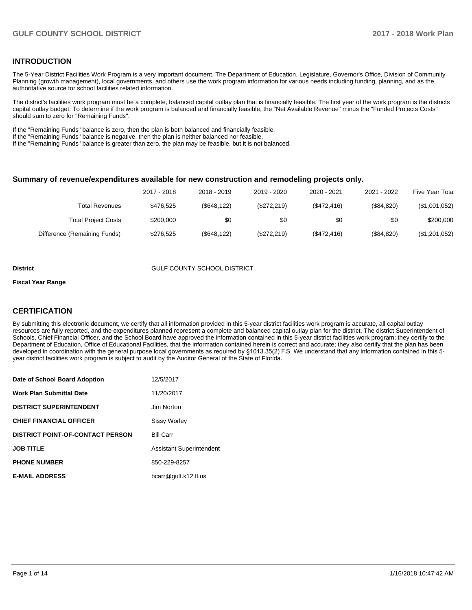## **INTRODUCTION**

The 5-Year District Facilities Work Program is a very important document. The Department of Education, Legislature, Governor's Office, Division of Community Planning (growth management), local governments, and others use the work program information for various needs including funding, planning, and as the authoritative source for school facilities related information.

The district's facilities work program must be a complete, balanced capital outlay plan that is financially feasible. The first year of the work program is the districts capital outlay budget. To determine if the work program is balanced and financially feasible, the "Net Available Revenue" minus the "Funded Projects Costs" should sum to zero for "Remaining Funds".

If the "Remaining Funds" balance is zero, then the plan is both balanced and financially feasible.

If the "Remaining Funds" balance is negative, then the plan is neither balanced nor feasible.

If the "Remaining Funds" balance is greater than zero, the plan may be feasible, but it is not balanced.

#### **Summary of revenue/expenditures available for new construction and remodeling projects only.**

| Five Year Tota | 2021 - 2022 | 2020 - 2021 | 2019 - 2020 | 2018 - 2019  | 2017 - 2018 |                              |
|----------------|-------------|-------------|-------------|--------------|-------------|------------------------------|
| (\$1,001,052)  | (S84.820)   | (\$472,416) | (\$272,219) | (\$648, 122) | \$476.525   | Total Revenues               |
| \$200,000      | \$0         | \$0         | \$0         | \$0          | \$200,000   | <b>Total Project Costs</b>   |
| (\$1,201,052)  | (\$84,820)  | (\$472,416) | (\$272,219) | (\$648, 122) | \$276.525   | Difference (Remaining Funds) |

#### **District COUNTY SCHOOL DISTRICT**

#### **Fiscal Year Range**

## **CERTIFICATION**

By submitting this electronic document, we certify that all information provided in this 5-year district facilities work program is accurate, all capital outlay resources are fully reported, and the expenditures planned represent a complete and balanced capital outlay plan for the district. The district Superintendent of Schools, Chief Financial Officer, and the School Board have approved the information contained in this 5-year district facilities work program; they certify to the Department of Education, Office of Educational Facilities, that the information contained herein is correct and accurate; they also certify that the plan has been developed in coordination with the general purpose local governments as required by §1013.35(2) F.S. We understand that any information contained in this 5year district facilities work program is subject to audit by the Auditor General of the State of Florida.

| Date of School Board Adoption           | 12/5/2017                       |
|-----------------------------------------|---------------------------------|
| <b>Work Plan Submittal Date</b>         | 11/20/2017                      |
| <b>DISTRICT SUPERINTENDENT</b>          | Jim Norton                      |
| <b>CHIEF FINANCIAL OFFICER</b>          | <b>Sissy Worley</b>             |
| <b>DISTRICT POINT-OF-CONTACT PERSON</b> | <b>Bill Carr</b>                |
| <b>JOB TITLE</b>                        | <b>Assistant Superintendent</b> |
| <b>PHONE NUMBER</b>                     | 850-229-8257                    |
| <b>E-MAIL ADDRESS</b>                   | bcarr@gulf.k12.fl.us            |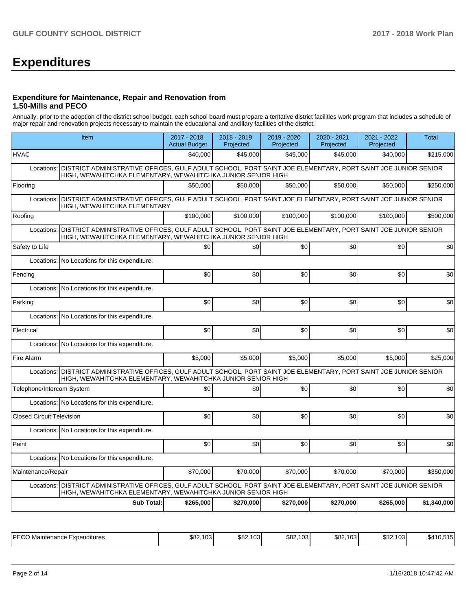# **Expenditures**

## **Expenditure for Maintenance, Repair and Renovation from 1.50-Mills and PECO**

Annually, prior to the adoption of the district school budget, each school board must prepare a tentative district facilities work program that includes a schedule of major repair and renovation projects necessary to maintain the educational and ancillary facilities of the district.

| Item                                                                                                                                                                                      | $2017 - 2018$<br><b>Actual Budget</b> | 2018 - 2019<br>Projected | 2019 - 2020<br>Projected | 2020 - 2021<br>Projected | 2021 - 2022<br>Projected | <b>Total</b> |
|-------------------------------------------------------------------------------------------------------------------------------------------------------------------------------------------|---------------------------------------|--------------------------|--------------------------|--------------------------|--------------------------|--------------|
| <b>HVAC</b>                                                                                                                                                                               | \$40,000                              | \$45,000                 | \$45,000                 | \$45,000                 | \$40,000                 | \$215,000    |
| DISTRICT ADMINISTRATIVE OFFICES, GULF ADULT SCHOOL, PORT SAINT JOE ELEMENTARY, PORT SAINT JOE JUNIOR SENIOR<br>Locations:<br>HIGH, WEWAHITCHKA ELEMENTARY, WEWAHITCHKA JUNIOR SENIOR HIGH |                                       |                          |                          |                          |                          |              |
| Flooring                                                                                                                                                                                  | \$50,000                              | \$50,000                 | \$50,000                 | \$50,000                 | \$50,000                 | \$250,000    |
| DISTRICT ADMINISTRATIVE OFFICES, GULF ADULT SCHOOL, PORT SAINT JOE ELEMENTARY, PORT SAINT JOE JUNIOR SENIOR<br>Locations:<br>HIGH, WEWAHITCHKA ELEMENTARY                                 |                                       |                          |                          |                          |                          |              |
| Roofing                                                                                                                                                                                   | \$100.000                             | \$100.000                | \$100.000                | \$100.000                | \$100.000                | \$500.000    |
| DISTRICT ADMINISTRATIVE OFFICES, GULF ADULT SCHOOL, PORT SAINT JOE ELEMENTARY, PORT SAINT JOE JUNIOR SENIOR<br>Locations:<br>HIGH, WEWAHITCHKA ELEMENTARY, WEWAHITCHKA JUNIOR SENIOR HIGH |                                       |                          |                          |                          |                          |              |
| Safety to Life                                                                                                                                                                            | \$0                                   | \$0                      | \$0                      | \$0 <sub>1</sub>         | \$0                      | \$0          |
| No Locations for this expenditure.<br>Locations:                                                                                                                                          |                                       |                          |                          |                          |                          |              |
| Fencing                                                                                                                                                                                   | \$0                                   | \$0                      | \$0                      | \$0                      | \$0                      | \$0          |
| Locations:<br>No Locations for this expenditure.                                                                                                                                          |                                       |                          |                          |                          |                          |              |
| Parking                                                                                                                                                                                   | \$0                                   | \$0                      | \$0                      | \$0                      | \$0                      | \$0          |
| Locations: No Locations for this expenditure.                                                                                                                                             |                                       |                          |                          |                          |                          |              |
| Electrical                                                                                                                                                                                | \$0                                   | \$0                      | \$0                      | \$0                      | \$0                      | \$0          |
| Locations:<br>No Locations for this expenditure.                                                                                                                                          |                                       |                          |                          |                          |                          |              |
| Fire Alarm                                                                                                                                                                                | \$5,000                               | \$5,000                  | \$5,000                  | \$5,000                  | \$5,000                  | \$25,000     |
| Locations: DISTRICT ADMINISTRATIVE OFFICES, GULF ADULT SCHOOL, PORT SAINT JOE ELEMENTARY, PORT SAINT JOE JUNIOR SENIOR<br>HIGH, WEWAHITCHKA ELEMENTARY, WEWAHITCHKA JUNIOR SENIOR HIGH    |                                       |                          |                          |                          |                          |              |
| Telephone/Intercom System                                                                                                                                                                 | \$0                                   | \$0                      | \$0                      | \$0 <sub>1</sub>         | \$0                      | \$0          |
| Locations: No Locations for this expenditure.                                                                                                                                             |                                       |                          |                          |                          |                          |              |
| <b>Closed Circuit Television</b>                                                                                                                                                          | \$0                                   | \$0                      | \$0                      | \$0                      | \$0                      | \$0          |
| Locations: No Locations for this expenditure.                                                                                                                                             |                                       |                          |                          |                          |                          |              |
| Paint                                                                                                                                                                                     | \$0                                   | \$0                      | \$0                      | \$0 <sub>1</sub>         | \$0                      | \$0          |
| Locations: No Locations for this expenditure.                                                                                                                                             |                                       |                          |                          |                          |                          |              |
| Maintenance/Repair                                                                                                                                                                        | \$70,000                              | \$70.000                 | \$70.000                 | \$70,000                 | \$70,000                 | \$350.000    |
| DISTRICT ADMINISTRATIVE OFFICES, GULF ADULT SCHOOL, PORT SAINT JOE ELEMENTARY, PORT SAINT JOE JUNIOR SENIOR<br>Locations:<br>HIGH, WEWAHITCHKA ELEMENTARY, WEWAHITCHKA JUNIOR SENIOR HIGH |                                       |                          |                          |                          |                          |              |
| Sub Total:                                                                                                                                                                                | \$265,000                             | \$270,000                | \$270,000                | \$270,000                | \$265,000                | \$1,340,000  |

| IPECC<br>Expenditures<br>Maintenance<br>∟ບບ | $\sim$<br>ፍ ደ′<br>ບມະ<br>woz | $\sqrt{2}$<br>\$82.<br>103 | $\sim$<br>ሰሰባ<br>ა¤ა<br>- כט | 100<br>\$82.<br>. טט | $\sqrt{2}$<br>\$82.103 | - - -<br>. . |
|---------------------------------------------|------------------------------|----------------------------|------------------------------|----------------------|------------------------|--------------|
|---------------------------------------------|------------------------------|----------------------------|------------------------------|----------------------|------------------------|--------------|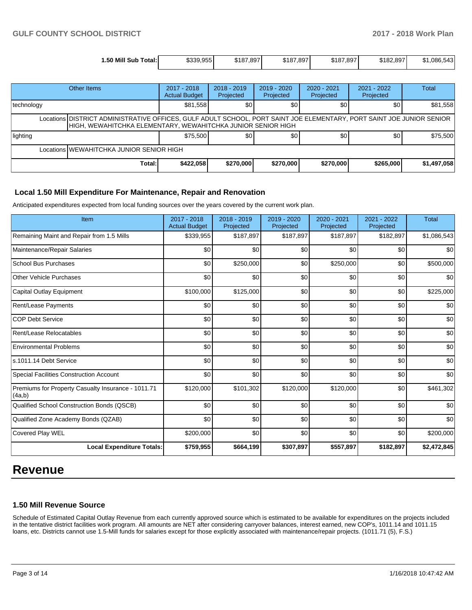| 1.50 Mill Sub<br>Total: | 1330 0551<br>339.9331 | \$187.897 | \$187,897 | \$187,897 | \$182.897 | \$1,086,543 |
|-------------------------|-----------------------|-----------|-----------|-----------|-----------|-------------|
|                         |                       |           |           |           |           |             |

|                                                                                                                                                                                       | Other Items | 2017 - 2018<br><b>Actual Budget</b> | $2018 - 2019$<br>Projected | 2019 - 2020<br>Projected | $2020 - 2021$<br>Projected | 2021 - 2022<br>Projected | <b>Total</b> |  |
|---------------------------------------------------------------------------------------------------------------------------------------------------------------------------------------|-------------|-------------------------------------|----------------------------|--------------------------|----------------------------|--------------------------|--------------|--|
| technology                                                                                                                                                                            |             | \$81,558                            | \$0                        | \$0                      | \$0                        | \$0                      | \$81,558     |  |
| Locations DISTRICT ADMINISTRATIVE OFFICES, GULF ADULT SCHOOL, PORT SAINT JOE ELEMENTARY, PORT SAINT JOE JUNIOR SENIOR<br>HIGH, WEWAHITCHKA ELEMENTARY, WEWAHITCHKA JUNIOR SENIOR HIGH |             |                                     |                            |                          |                            |                          |              |  |
| lighting                                                                                                                                                                              |             | \$75,500                            | \$0                        | \$0                      | \$0                        | \$0                      | \$75,500     |  |
| Locations WEWAHITCHKA JUNIOR SENIOR HIGH                                                                                                                                              |             |                                     |                            |                          |                            |                          |              |  |
|                                                                                                                                                                                       | Total:l     | \$422,058                           | \$270,000                  | \$270,000                | \$270,000                  | \$265,000                | \$1,497,058  |  |

## **Local 1.50 Mill Expenditure For Maintenance, Repair and Renovation**

Anticipated expenditures expected from local funding sources over the years covered by the current work plan.

| Item                                                         | 2017 - 2018<br><b>Actual Budget</b> | 2018 - 2019<br>Projected | 2019 - 2020<br>Projected | 2020 - 2021<br>Projected | 2021 - 2022<br>Projected | <b>Total</b> |
|--------------------------------------------------------------|-------------------------------------|--------------------------|--------------------------|--------------------------|--------------------------|--------------|
| Remaining Maint and Repair from 1.5 Mills                    | \$339,955                           | \$187,897                | \$187,897                | \$187,897                | \$182,897                | \$1,086,543  |
| Maintenance/Repair Salaries                                  | \$0                                 | \$0                      | \$0                      | \$0                      | \$0                      | \$0          |
| <b>School Bus Purchases</b>                                  | \$0                                 | \$250,000                | \$0                      | \$250,000                | \$0                      | \$500,000    |
| <b>Other Vehicle Purchases</b>                               | \$0                                 | \$0                      | \$0                      | \$0                      | \$0                      | \$0          |
| <b>Capital Outlay Equipment</b>                              | \$100,000                           | \$125,000                | \$0                      | \$0                      | \$0                      | \$225,000    |
| <b>Rent/Lease Payments</b>                                   | \$0                                 | \$0                      | \$0                      | \$0                      | \$0                      | \$0          |
| <b>COP Debt Service</b>                                      | \$0                                 | \$0                      | \$0                      | \$0                      | \$0                      | \$0          |
| Rent/Lease Relocatables                                      | \$0                                 | \$0                      | \$0                      | \$0                      | \$0                      | \$0          |
| <b>Environmental Problems</b>                                | \$0                                 | \$0                      | \$0                      | \$0                      | \$0                      | \$0          |
| s.1011.14 Debt Service                                       | \$0                                 | \$0                      | \$0                      | \$0                      | \$0                      | \$0          |
| Special Facilities Construction Account                      | \$0                                 | \$0                      | \$0                      | \$0                      | \$0                      | \$0          |
| Premiums for Property Casualty Insurance - 1011.71<br>(4a,b) | \$120,000                           | \$101,302                | \$120,000                | \$120,000                | \$0                      | \$461,302    |
| Qualified School Construction Bonds (QSCB)                   | \$0                                 | \$0                      | \$0                      | \$0                      | \$0                      | \$0          |
| Qualified Zone Academy Bonds (QZAB)                          | \$0                                 | \$0                      | \$0                      | \$0                      | \$0                      | \$0          |
| Covered Play WEL                                             | \$200,000                           | \$0                      | \$0                      | \$0                      | \$0                      | \$200,000    |
| <b>Local Expenditure Totals:</b>                             | \$759,955                           | \$664,199                | \$307,897                | \$557,897                | \$182,897                | \$2,472,845  |

## **Revenue**

## **1.50 Mill Revenue Source**

Schedule of Estimated Capital Outlay Revenue from each currently approved source which is estimated to be available for expenditures on the projects included in the tentative district facilities work program. All amounts are NET after considering carryover balances, interest earned, new COP's, 1011.14 and 1011.15 loans, etc. Districts cannot use 1.5-Mill funds for salaries except for those explicitly associated with maintenance/repair projects. (1011.71 (5), F.S.)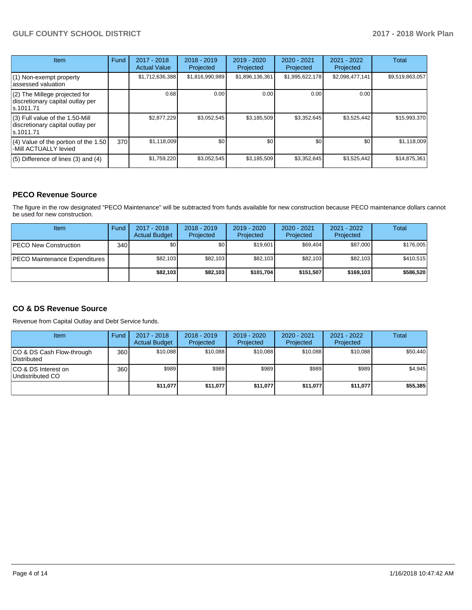## **GULF COUNTY SCHOOL DISTRICT 2017 - 2018 Work Plan**

| Item                                                                                | Fund | 2017 - 2018<br><b>Actual Value</b> | $2018 - 2019$<br>Projected | $2019 - 2020$<br>Projected | $2020 - 2021$<br>Projected | $2021 - 2022$<br>Projected | <b>Total</b>    |
|-------------------------------------------------------------------------------------|------|------------------------------------|----------------------------|----------------------------|----------------------------|----------------------------|-----------------|
| $(1)$ Non-exempt property<br>lassessed valuation                                    |      | \$1,712,636,388                    | \$1,816,990,989            | \$1,896,136,361            | \$1,995,622,178            | \$2,098,477,141            | \$9,519,863,057 |
| $(2)$ The Millege projected for<br>discretionary capital outlay per<br>ls.1011.71   |      | 0.68                               | 0.00                       | 0.00                       | 0.00                       | 0.00                       |                 |
| $(3)$ Full value of the 1.50-Mill<br>discretionary capital outlay per<br>ls.1011.71 |      | \$2,877,229                        | \$3,052,545                | \$3,185,509                | \$3,352,645                | \$3,525,442                | \$15,993,370    |
| $(4)$ Value of the portion of the 1.50<br>-Mill ACTUALLY levied                     | 370I | \$1,118,009                        | \$0                        | \$0                        | \$0                        | \$0                        | \$1,118,009     |
| $(5)$ Difference of lines $(3)$ and $(4)$                                           |      | \$1,759,220                        | \$3,052,545                | \$3,185,509                | \$3,352,645                | \$3,525,442                | \$14,875,361    |

## **PECO Revenue Source**

The figure in the row designated "PECO Maintenance" will be subtracted from funds available for new construction because PECO maintenance dollars cannot be used for new construction.

| Item                           | Fund | $2017 - 2018$<br><b>Actual Budget</b> | $2018 - 2019$<br>Projected | 2019 - 2020<br>Projected | $2020 - 2021$<br>Projected | $2021 - 2022$<br>Projected | <b>Total</b> |
|--------------------------------|------|---------------------------------------|----------------------------|--------------------------|----------------------------|----------------------------|--------------|
| <b>IPECO New Construction</b>  | 340  | \$0                                   | \$٥Ι                       | \$19.601                 | \$69.404                   | \$87,000                   | \$176,005    |
| IPECO Maintenance Expenditures |      | \$82,103                              | \$82,103                   | \$82.103                 | \$82,103                   | \$82,103                   | \$410,515    |
|                                |      | \$82,103                              | \$82,103                   | \$101.704                | \$151.507                  | \$169,103                  | \$586,520    |

## **CO & DS Revenue Source**

Revenue from Capital Outlay and Debt Service funds.

| Item                                      | Fund | $2017 - 2018$<br><b>Actual Budget</b> | $2018 - 2019$<br>Projected | 2019 - 2020<br>Projected | $2020 - 2021$<br>Projected | $2021 - 2022$<br>Projected | Total    |
|-------------------------------------------|------|---------------------------------------|----------------------------|--------------------------|----------------------------|----------------------------|----------|
| ICO & DS Cash Flow-through<br>Distributed | 360  | \$10.088                              | \$10.088                   | \$10.088                 | \$10.088                   | \$10.088                   | \$50,440 |
| ICO & DS Interest on<br>Undistributed CO  | 360  | \$989                                 | \$989                      | \$989                    | \$989                      | \$989                      | \$4,945  |
|                                           |      | \$11,077                              | \$11,077                   | \$11,077                 | \$11,077                   | \$11,077                   | \$55,385 |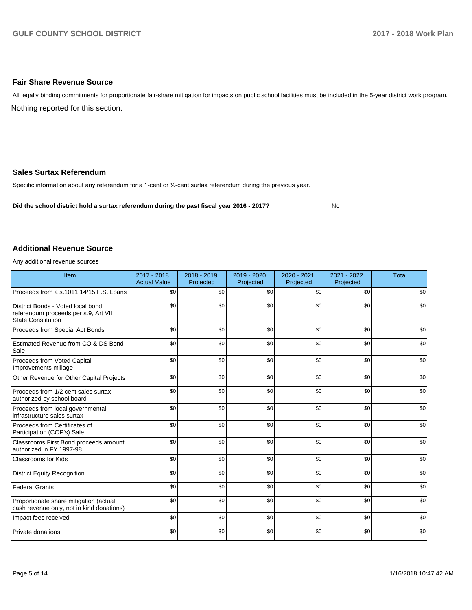## **Fair Share Revenue Source**

Nothing reported for this section. All legally binding commitments for proportionate fair-share mitigation for impacts on public school facilities must be included in the 5-year district work program.

## **Sales Surtax Referendum**

Specific information about any referendum for a 1-cent or 1/2-cent surtax referendum during the previous year.

**Did the school district hold a surtax referendum during the past fiscal year 2016 - 2017?**

No

## **Additional Revenue Source**

Any additional revenue sources

| Item                                                                                                   | $2017 - 2018$<br><b>Actual Value</b> | $2018 - 2019$<br>Projected | 2019 - 2020<br>Projected | 2020 - 2021<br>Projected | 2021 - 2022<br>Projected | <b>Total</b> |
|--------------------------------------------------------------------------------------------------------|--------------------------------------|----------------------------|--------------------------|--------------------------|--------------------------|--------------|
| Proceeds from a s.1011.14/15 F.S. Loans                                                                | \$0                                  | \$0                        | \$0                      | \$0                      | \$0                      | \$0          |
| District Bonds - Voted local bond<br>referendum proceeds per s.9, Art VII<br><b>State Constitution</b> | \$0                                  | \$0                        | \$0                      | \$0                      | \$0                      | \$0          |
| Proceeds from Special Act Bonds                                                                        | \$0                                  | \$0                        | \$0                      | \$0                      | \$0                      | \$0          |
| Estimated Revenue from CO & DS Bond<br>Sale                                                            | \$0                                  | \$0                        | \$0                      | \$0                      | \$0                      | \$0          |
| Proceeds from Voted Capital<br>Improvements millage                                                    | \$0                                  | \$0                        | \$0                      | \$0                      | \$0                      | \$0          |
| Other Revenue for Other Capital Projects                                                               | \$0                                  | \$0                        | \$0                      | \$0                      | \$0                      | \$0          |
| Proceeds from 1/2 cent sales surtax<br>authorized by school board                                      | \$0                                  | \$0                        | \$0                      | \$0                      | \$0                      | \$0          |
| Proceeds from local governmental<br>infrastructure sales surtax                                        | \$0                                  | \$0                        | \$0                      | \$0                      | \$0                      | \$0          |
| Proceeds from Certificates of<br>Participation (COP's) Sale                                            | \$0                                  | \$0                        | \$0                      | \$0                      | \$0                      | \$0          |
| Classrooms First Bond proceeds amount<br>authorized in FY 1997-98                                      | \$0                                  | \$0                        | \$0                      | \$0                      | \$0                      | \$0          |
| <b>Classrooms for Kids</b>                                                                             | \$0                                  | \$0                        | \$0                      | \$0                      | \$0                      | \$0          |
| <b>District Equity Recognition</b>                                                                     | \$0                                  | \$0                        | \$0                      | \$0                      | \$0                      | \$0          |
| <b>Federal Grants</b>                                                                                  | \$0                                  | \$0                        | \$0                      | \$0                      | \$0                      | \$0          |
| Proportionate share mitigation (actual<br>cash revenue only, not in kind donations)                    | \$0                                  | \$0                        | \$0                      | \$0                      | \$0                      | \$0          |
| Impact fees received                                                                                   | \$0                                  | \$0                        | \$0                      | \$0                      | \$0                      | \$0          |
| Private donations                                                                                      | \$0                                  | \$0                        | \$0                      | \$0                      | \$0                      | \$0          |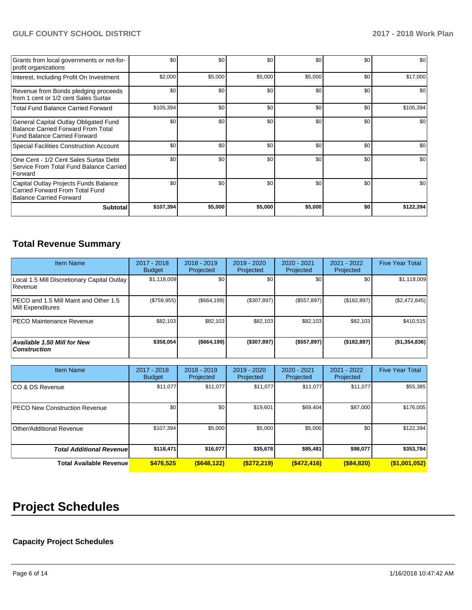## **GULF COUNTY SCHOOL DISTRICT 2017 - 2018 Work Plan**

| Grants from local governments or not-for-<br>profit organizations                                                         | \$0       | \$0     | \$0     | \$0     | \$0 | \$0       |
|---------------------------------------------------------------------------------------------------------------------------|-----------|---------|---------|---------|-----|-----------|
| Interest, Including Profit On Investment                                                                                  | \$2,000   | \$5,000 | \$5,000 | \$5,000 | \$0 | \$17,000  |
| Revenue from Bonds pledging proceeds<br>from 1 cent or 1/2 cent Sales Surtax                                              | \$0       | \$0     | \$0     | \$0     | \$0 | \$0       |
| <b>Total Fund Balance Carried Forward</b>                                                                                 | \$105,394 | \$0     | \$0     | \$0     | \$0 | \$105,394 |
| General Capital Outlay Obligated Fund<br><b>Balance Carried Forward From Total</b><br><b>Fund Balance Carried Forward</b> | \$0       | \$0     | \$0     | \$0     | \$0 | \$0       |
| <b>Special Facilities Construction Account</b>                                                                            | \$0       | \$0     | \$0     | \$0     | \$0 | \$0       |
| One Cent - 1/2 Cent Sales Surtax Debt<br>Service From Total Fund Balance Carried<br>Forward                               | \$0       | \$0     | \$0     | \$0     | \$0 | \$0       |
| Capital Outlay Projects Funds Balance<br>Carried Forward From Total Fund<br><b>Balance Carried Forward</b>                | \$0       | \$0     | \$0     | \$0     | \$0 | \$0       |
| <b>Subtotal</b>                                                                                                           | \$107,394 | \$5,000 | \$5,000 | \$5,000 | \$0 | \$122,394 |

## **Total Revenue Summary**

| <b>Item Name</b>                                           | 2017 - 2018<br><b>Budget</b> | $2018 - 2019$<br>Projected | $2019 - 2020$<br>Projected | 2020 - 2021<br>Projected | $2021 - 2022$<br>Projected | <b>Five Year Total</b> |
|------------------------------------------------------------|------------------------------|----------------------------|----------------------------|--------------------------|----------------------------|------------------------|
| Local 1.5 Mill Discretionary Capital Outlay<br>l Revenue   | \$1.118.009                  | \$0                        | \$0                        | \$0 <sub>1</sub>         | \$0                        | \$1,118,009            |
| PECO and 1.5 Mill Maint and Other 1.5<br>Mill Expenditures | (\$759,955)                  | (\$664, 199)               | (\$307,897)                | (\$557,897)              | (\$182,897)                | (\$2,472,845)          |
| <b>IPECO Maintenance Revenue</b>                           | \$82.103                     | \$82.103                   | \$82,103                   | \$82.103                 | \$82,103                   | \$410,515              |
| <b>Available 1.50 Mill for New</b><br><b>Construction</b>  | \$358.054                    | ( \$664, 199)              | (\$307,897)                | (\$557,897)              | (\$182,897)                | (\$1,354,836)          |

| <b>Item Name</b>                      | 2017 - 2018<br><b>Budget</b> | $2018 - 2019$<br>Projected | 2019 - 2020<br>Projected | 2020 - 2021<br>Projected | 2021 - 2022<br>Projected | <b>Five Year Total</b> |
|---------------------------------------|------------------------------|----------------------------|--------------------------|--------------------------|--------------------------|------------------------|
| ICO & DS Revenue                      | \$11,077                     | \$11,077                   | \$11,077                 | \$11,077                 | \$11,077                 | \$55,385               |
| <b>IPECO New Construction Revenue</b> | \$0                          | \$0                        | \$19,601                 | \$69,404                 | \$87,000                 | \$176,005              |
| Other/Additional Revenue              | \$107,394                    | \$5,000                    | \$5,000                  | \$5,000                  | \$0                      | \$122,394              |
| <b>Total Additional Revenuel</b>      | \$118,471                    | \$16,077                   | \$35,678                 | \$85,481                 | \$98,077                 | \$353,784              |
| <b>Total Available Revenue</b>        | \$476.525                    | $($ \$648,122)             | ( \$272, 219)            | $($ \$472,416)           | $($ \$84,820)            | $($ \$1,001,052)       |

# **Project Schedules**

## **Capacity Project Schedules**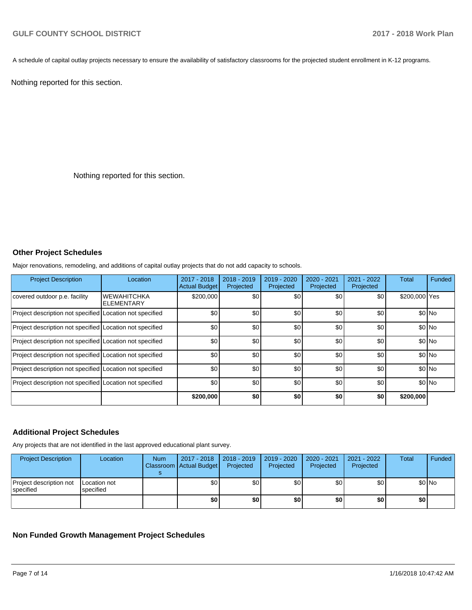A schedule of capital outlay projects necessary to ensure the availability of satisfactory classrooms for the projected student enrollment in K-12 programs.

Nothing reported for this section.

Nothing reported for this section.

## **Other Project Schedules**

Major renovations, remodeling, and additions of capital outlay projects that do not add capacity to schools.

| <b>Project Description</b>                               | Location                         | $2017 - 2018$<br><b>Actual Budget</b> | $2018 - 2019$<br>Projected | 2019 - 2020<br>Projected | 2020 - 2021<br>Projected | 2021 - 2022<br>Projected | <b>Total</b>  | Funded |
|----------------------------------------------------------|----------------------------------|---------------------------------------|----------------------------|--------------------------|--------------------------|--------------------------|---------------|--------|
| covered outdoor p.e. facility                            | <b>WEWAHITCHKA</b><br>ELEMENTARY | \$200,000                             | \$0                        | \$0                      | \$0                      | \$0                      | \$200,000 Yes |        |
| Project description not specified Location not specified |                                  | \$0                                   | \$0                        | \$0                      | \$0                      | \$0                      |               | \$0 No |
| Project description not specified Location not specified |                                  | \$0                                   | \$0                        | \$0                      | \$0                      | \$0                      |               | \$0 No |
| Project description not specified Location not specified |                                  | \$0                                   | \$0                        | \$0                      | \$0                      | \$0                      |               | \$0 No |
| Project description not specified Location not specified |                                  | \$0                                   | \$0                        | \$0                      | \$0                      | \$0                      |               | \$0 No |
| Project description not specified Location not specified |                                  | \$0                                   | \$0                        | \$0                      | \$0                      | \$0                      |               | \$0 No |
| Project description not specified Location not specified |                                  | \$0                                   | \$0                        | \$0                      | \$0                      | \$0                      |               | \$0 No |
|                                                          |                                  | \$200,000                             | \$0                        | \$0                      | \$0                      | \$0                      | \$200,000     |        |

## **Additional Project Schedules**

Any projects that are not identified in the last approved educational plant survey.

| <b>Project Description</b>           | Location                          | <b>Num</b> | 2017 - 2018<br>Classroom Actual Budget | $\vert$ 2018 - 2019<br>Projected | 2019 - 2020<br>Projected | $2020 - 2021$<br>Projected | 2021 - 2022<br>Projected | <b>Total</b> | Funded |
|--------------------------------------|-----------------------------------|------------|----------------------------------------|----------------------------------|--------------------------|----------------------------|--------------------------|--------------|--------|
| Project description not<br>specified | <b>ILocation not</b><br>specified |            | \$0                                    | \$0                              | \$0                      | \$0                        | \$0                      |              | \$0 No |
|                                      |                                   |            | \$0                                    | \$0                              | \$0                      | \$0                        | \$0                      | \$0          |        |

**Non Funded Growth Management Project Schedules**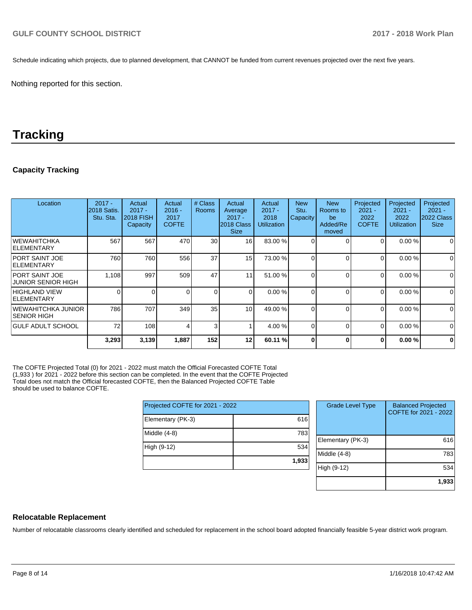Schedule indicating which projects, due to planned development, that CANNOT be funded from current revenues projected over the next five years.

Nothing reported for this section.

## **Tracking**

## **Capacity Tracking**

| Location                                            | $2017 -$<br>2018 Satis.<br>Stu. Sta. | Actual<br>$2017 -$<br><b>2018 FISH</b><br>Capacity | Actual<br>$2016 -$<br>2017<br><b>COFTE</b> | # Class<br>Rooms | Actual<br>Average<br>$2017 -$<br>2018 Class<br><b>Size</b> | Actual<br>$2017 -$<br>2018<br><b>Utilization</b> | <b>New</b><br>Stu.<br>Capacity | <b>New</b><br>Rooms to<br>be<br>Added/Re<br>moved | Projected<br>$2021 -$<br>2022<br><b>COFTE</b> | Projected<br>$2021 -$<br>2022<br><b>Utilization</b> | Projected<br>$2021 -$<br>2022 Class<br><b>Size</b> |
|-----------------------------------------------------|--------------------------------------|----------------------------------------------------|--------------------------------------------|------------------|------------------------------------------------------------|--------------------------------------------------|--------------------------------|---------------------------------------------------|-----------------------------------------------|-----------------------------------------------------|----------------------------------------------------|
| <b>WEWAHITCHKA</b><br><b>IELEMENTARY</b>            | 567                                  | 567                                                | 470                                        | 30 <sub>l</sub>  | 16                                                         | 83.00 %                                          |                                | $\Omega$                                          | 0                                             | 0.00%                                               | 0                                                  |
| <b>PORT SAINT JOE</b><br><b>IELEMENTARY</b>         | 760                                  | 760                                                | 556                                        | 37               | 15                                                         | 73.00 %                                          |                                | $\Omega$                                          | $\Omega$                                      | 0.00%                                               | $\mathbf 0$                                        |
| <b>IPORT SAINT JOE</b><br><b>JUNIOR SENIOR HIGH</b> | 1,108                                | 997                                                | 509                                        | 47               | 11                                                         | 51.00 %                                          |                                | $\Omega$                                          | 0                                             | 0.00%                                               | $\mathbf 0$                                        |
| <b>HIGHLAND VIEW</b><br><b>IELEMENTARY</b>          | 0                                    | 0                                                  |                                            | $\overline{0}$   | $\Omega$                                                   | 0.00%                                            |                                | $\Omega$                                          | 0                                             | 0.00%                                               | $\mathbf 0$                                        |
| <b>WEWAHITCHKA JUNIOR</b><br><b>SENIOR HIGH</b>     | 786                                  | 707                                                | 349                                        | 35 <sub>1</sub>  | 10                                                         | 49.00 %                                          |                                | $\Omega$                                          | 0                                             | 0.00%                                               | $\mathbf 0$                                        |
| <b>GULF ADULT SCHOOL</b>                            | 72                                   | 108                                                |                                            | 3                |                                                            | 4.00 %                                           | 0                              | $\Omega$                                          | 0                                             | 0.00%                                               | 0                                                  |
|                                                     | 3,293                                | 3,139                                              | 1,887                                      | 152              | 12                                                         | 60.11 %                                          |                                | $\Omega$                                          | 0                                             | 0.00%                                               | $\mathbf 0$                                        |

The COFTE Projected Total (0) for 2021 - 2022 must match the Official Forecasted COFTE Total (1,933 ) for 2021 - 2022 before this section can be completed. In the event that the COFTE Projected Total does not match the Official forecasted COFTE, then the Balanced Projected COFTE Table should be used to balance COFTE.

| Projected COFTE for 2021 - 2022 |       |  |  |  |  |
|---------------------------------|-------|--|--|--|--|
| Elementary (PK-3)               | 616   |  |  |  |  |
| Middle (4-8)                    | 783   |  |  |  |  |
| High (9-12)                     | 534   |  |  |  |  |
|                                 | 1,933 |  |  |  |  |

| <b>Grade Level Type</b> | <b>Balanced Projected</b><br>COFTE for 2021 - 2022 |
|-------------------------|----------------------------------------------------|
| Elementary (PK-3)       | 616                                                |
| Middle (4-8)            | 783                                                |
| High (9-12)             | 534                                                |
|                         | 1,933                                              |

## **Relocatable Replacement**

Number of relocatable classrooms clearly identified and scheduled for replacement in the school board adopted financially feasible 5-year district work program.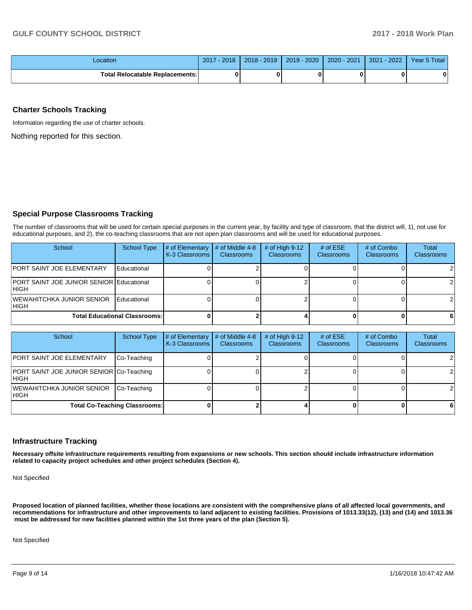| _ocation                                | 2018<br>2017 | 2019<br>$2018 -$ | 2019 - 2020 | $-2021$<br>$2020 - 1$ | $-2022$<br>2021 | Year 5 Total |
|-----------------------------------------|--------------|------------------|-------------|-----------------------|-----------------|--------------|
| `otal .<br>l Relocatable Replacements:I |              |                  |             |                       |                 | 0            |

## **Charter Schools Tracking**

Information regarding the use of charter schools.

Nothing reported for this section.

## **Special Purpose Classrooms Tracking**

The number of classrooms that will be used for certain special purposes in the current year, by facility and type of classroom, that the district will, 1), not use for educational purposes, and 2), the co-teaching classrooms that are not open plan classrooms and will be used for educational purposes.

| School                                                    | <b>School Type</b>                   | # of Elementary<br>K-3 Classrooms | # of Middle 4-8<br><b>Classrooms</b> | $#$ of High 9-12<br><b>Classrooms</b> | # of $ESE$<br><b>Classrooms</b> | # of Combo<br><b>Classrooms</b> | <b>Total</b><br>Classrooms |
|-----------------------------------------------------------|--------------------------------------|-----------------------------------|--------------------------------------|---------------------------------------|---------------------------------|---------------------------------|----------------------------|
| <b>IPORT SAINT JOE ELEMENTARY</b>                         | Educational                          |                                   |                                      |                                       |                                 |                                 | 2                          |
| <b>PORT SAINT JOE JUNIOR SENIOR Educational</b><br>IHIGH. |                                      |                                   |                                      |                                       |                                 |                                 | 2                          |
| <b>IWEWAHITCHKA JUNIOR SENIOR</b><br>IHIGH                | Educational                          |                                   |                                      |                                       |                                 |                                 | 2                          |
|                                                           | <b>Total Educational Classrooms:</b> |                                   |                                      |                                       |                                 |                                 | -6                         |

| School                                            | School Type                          | # of Elementary<br>K-3 Classrooms | # of Middle 4-8<br><b>Classrooms</b> | # of High $9-12$<br><b>Classrooms</b> | # of $ESE$<br><b>Classrooms</b> | # of Combo<br><b>Classrooms</b> | Total<br>Classrooms |
|---------------------------------------------------|--------------------------------------|-----------------------------------|--------------------------------------|---------------------------------------|---------------------------------|---------------------------------|---------------------|
| <b>PORT SAINT JOE ELEMENTARY</b>                  | Co-Teaching                          |                                   |                                      |                                       |                                 |                                 | 2                   |
| PORT SAINT JOE JUNIOR SENIOR Co-Teaching<br>IHIGH |                                      |                                   |                                      |                                       |                                 |                                 | 2                   |
| <b>WEWAHITCHKA JUNIOR SENIOR</b><br>IHIGH         | Co-Teaching                          |                                   |                                      |                                       |                                 |                                 | 2                   |
|                                                   | <b>Total Co-Teaching Classrooms:</b> |                                   |                                      |                                       |                                 |                                 | 6                   |

## **Infrastructure Tracking**

**Necessary offsite infrastructure requirements resulting from expansions or new schools. This section should include infrastructure information related to capacity project schedules and other project schedules (Section 4).** 

Not Specified

**Proposed location of planned facilities, whether those locations are consistent with the comprehensive plans of all affected local governments, and recommendations for infrastructure and other improvements to land adjacent to existing facilities. Provisions of 1013.33(12), (13) and (14) and 1013.36 must be addressed for new facilities planned within the 1st three years of the plan (Section 5).** 

Not Specified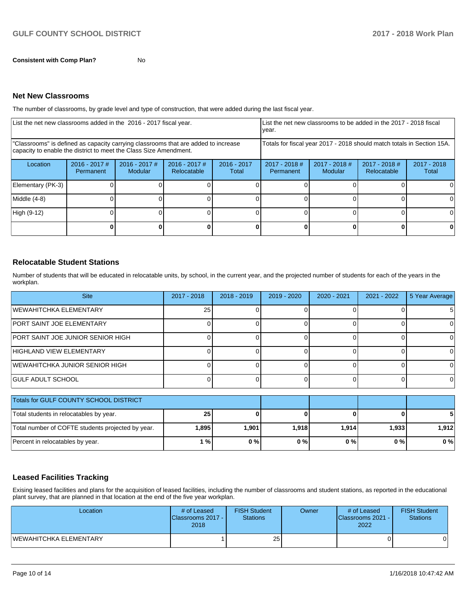**Consistent with Comp Plan?** No

#### **Net New Classrooms**

The number of classrooms, by grade level and type of construction, that were added during the last fiscal year.

| List the net new classrooms added in the 2016 - 2017 fiscal year.                                                                                       |                              |                                   |                                |                        | List the net new classrooms to be added in the 2017 - 2018 fiscal<br>year. |                            |                              |                        |  |
|---------------------------------------------------------------------------------------------------------------------------------------------------------|------------------------------|-----------------------------------|--------------------------------|------------------------|----------------------------------------------------------------------------|----------------------------|------------------------------|------------------------|--|
| "Classrooms" is defined as capacity carrying classrooms that are added to increase<br>capacity to enable the district to meet the Class Size Amendment. |                              |                                   |                                |                        | Totals for fiscal year 2017 - 2018 should match totals in Section 15A.     |                            |                              |                        |  |
| Location                                                                                                                                                | $2016 - 2017$ #<br>Permanent | $2016 - 2017$ #<br><b>Modular</b> | $2016 - 2017$ #<br>Relocatable | $2016 - 2017$<br>Total | $2017 - 2018$ #<br>Permanent                                               | $2017 - 2018$ #<br>Modular | 2017 - 2018 #<br>Relocatable | $2017 - 2018$<br>Total |  |
| Elementary (PK-3)                                                                                                                                       |                              |                                   |                                |                        |                                                                            |                            |                              |                        |  |
| Middle (4-8)                                                                                                                                            |                              |                                   |                                |                        |                                                                            |                            |                              |                        |  |
| High (9-12)                                                                                                                                             |                              |                                   |                                |                        |                                                                            |                            |                              |                        |  |
|                                                                                                                                                         |                              |                                   |                                |                        |                                                                            |                            |                              |                        |  |

## **Relocatable Student Stations**

Number of students that will be educated in relocatable units, by school, in the current year, and the projected number of students for each of the years in the workplan.

| <b>Site</b>                       | 2017 - 2018 | $2018 - 2019$ | $2019 - 2020$ | $2020 - 2021$ | 2021 - 2022 | 5 Year Average |
|-----------------------------------|-------------|---------------|---------------|---------------|-------------|----------------|
| IWEWAHITCHKA ELEMENTARY           | 25          |               |               |               |             |                |
| <b>PORT SAINT JOE ELEMENTARY</b>  |             |               |               |               |             |                |
| PORT SAINT JOE JUNIOR SENIOR HIGH |             |               |               |               |             |                |
| HIGHLAND VIEW ELEMENTARY          |             |               |               |               |             |                |
| IWEWAHITCHKA JUNIOR SENIOR HIGH   |             |               |               |               |             |                |
| IGULF ADULT SCHOOL                |             |               |               |               |             |                |

| Totals for GULF COUNTY SCHOOL DISTRICT            |       |       |       |        |        |       |
|---------------------------------------------------|-------|-------|-------|--------|--------|-------|
| Total students in relocatables by year.           | 25    |       |       |        |        |       |
| Total number of COFTE students projected by year. | 1,895 | 1.901 | 1.918 | 1.9141 | 1,9331 | 1.912 |
| Percent in relocatables by year.                  | 1%    | 0%    | 0%    | 0%     | 0 % I  | $0\%$ |

## **Leased Facilities Tracking**

Exising leased facilities and plans for the acquisition of leased facilities, including the number of classrooms and student stations, as reported in the educational plant survey, that are planned in that location at the end of the five year workplan.

| Location               | # of Leased<br><b>IClassrooms 2017 - I</b><br>2018 | <b>FISH Student</b><br><b>Stations</b> | Owner | # of Leased<br>Classrooms 2021 -<br>2022 | <b>FISH Student</b><br>Stations |
|------------------------|----------------------------------------------------|----------------------------------------|-------|------------------------------------------|---------------------------------|
| WEWAHITCHKA ELEMENTARY |                                                    | 25 <sub>1</sub>                        |       |                                          | 01                              |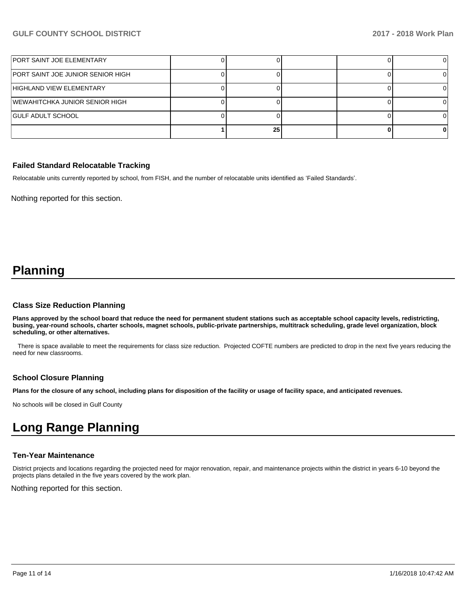| PORT SAINT JOE ELEMENTARY         |    |  |  |
|-----------------------------------|----|--|--|
| PORT SAINT JOE JUNIOR SENIOR HIGH |    |  |  |
| HIGHLAND VIEW ELEMENTARY          |    |  |  |
| WEWAHITCHKA JUNIOR SENIOR HIGH    |    |  |  |
| <b>GULF ADULT SCHOOL</b>          |    |  |  |
|                                   | 25 |  |  |

## **Failed Standard Relocatable Tracking**

Relocatable units currently reported by school, from FISH, and the number of relocatable units identified as 'Failed Standards'.

Nothing reported for this section.

## **Planning**

#### **Class Size Reduction Planning**

**Plans approved by the school board that reduce the need for permanent student stations such as acceptable school capacity levels, redistricting, busing, year-round schools, charter schools, magnet schools, public-private partnerships, multitrack scheduling, grade level organization, block scheduling, or other alternatives.**

 There is space available to meet the requirements for class size reduction. Projected COFTE numbers are predicted to drop in the next five years reducing the need for new classrooms.

## **School Closure Planning**

**Plans for the closure of any school, including plans for disposition of the facility or usage of facility space, and anticipated revenues.** 

No schools will be closed in Gulf County

## **Long Range Planning**

#### **Ten-Year Maintenance**

District projects and locations regarding the projected need for major renovation, repair, and maintenance projects within the district in years 6-10 beyond the projects plans detailed in the five years covered by the work plan.

Nothing reported for this section.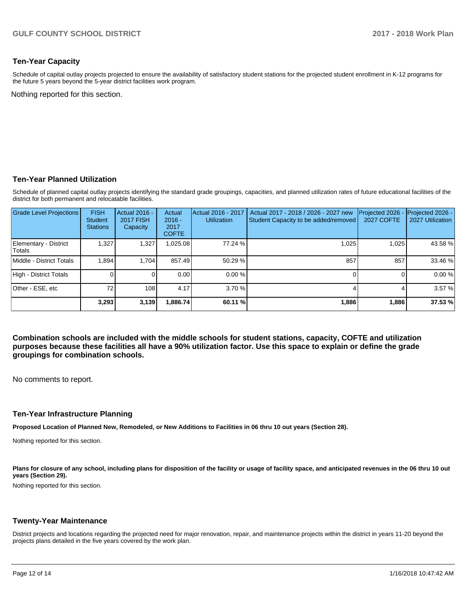## **Ten-Year Capacity**

Schedule of capital outlay projects projected to ensure the availability of satisfactory student stations for the projected student enrollment in K-12 programs for the future 5 years beyond the 5-year district facilities work program.

Nothing reported for this section.

#### **Ten-Year Planned Utilization**

Schedule of planned capital outlay projects identifying the standard grade groupings, capacities, and planned utilization rates of future educational facilities of the district for both permanent and relocatable facilities.

| <b>Grade Level Projections</b>   | <b>FISH</b><br><b>Student</b><br><b>Stations</b> | Actual 2016 -<br><b>2017 FISH</b><br>Capacity | Actual<br>$2016 -$<br>2017<br><b>COFTE</b> | Actual 2016 - 2017<br><b>Utilization</b> | Actual 2017 - 2018 / 2026 - 2027 new<br>Student Capacity to be added/removed | Projected 2026<br><b>2027 COFTE</b> | Projected 2026 -<br>2027 Utilization |
|----------------------------------|--------------------------------------------------|-----------------------------------------------|--------------------------------------------|------------------------------------------|------------------------------------------------------------------------------|-------------------------------------|--------------------------------------|
| Elementary - District<br> Totals | .327                                             | 1,327                                         | 0.025.08                                   | 77.24 %                                  | 1,025                                                                        | 1.025                               | 43.58 %                              |
| Middle - District Totals         | 1.894                                            | 1.704                                         | 857.49                                     | 50.29%                                   | 857                                                                          | 857                                 | 33.46 %                              |
| High - District Totals           |                                                  |                                               | 0.00                                       | 0.00%                                    |                                                                              |                                     | 0.00%                                |
| Other - ESE, etc                 | 72                                               | 108                                           | 4.17                                       | 3.70%                                    |                                                                              |                                     | 3.57 %                               |
|                                  | 3,293                                            | 3,139                                         | .886.74                                    | 60.11 %                                  | 1,886                                                                        | 1,886                               | 37.53 %                              |

**Combination schools are included with the middle schools for student stations, capacity, COFTE and utilization purposes because these facilities all have a 90% utilization factor. Use this space to explain or define the grade groupings for combination schools.** 

No comments to report.

#### **Ten-Year Infrastructure Planning**

**Proposed Location of Planned New, Remodeled, or New Additions to Facilities in 06 thru 10 out years (Section 28).**

Nothing reported for this section.

Plans for closure of any school, including plans for disposition of the facility or usage of facility space, and anticipated revenues in the 06 thru 10 out **years (Section 29).**

Nothing reported for this section.

#### **Twenty-Year Maintenance**

District projects and locations regarding the projected need for major renovation, repair, and maintenance projects within the district in years 11-20 beyond the projects plans detailed in the five years covered by the work plan.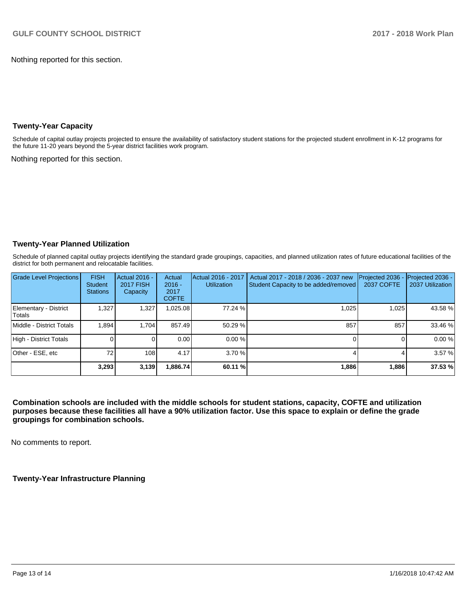Nothing reported for this section.

## **Twenty-Year Capacity**

Schedule of capital outlay projects projected to ensure the availability of satisfactory student stations for the projected student enrollment in K-12 programs for the future 11-20 years beyond the 5-year district facilities work program.

Nothing reported for this section.

## **Twenty-Year Planned Utilization**

Schedule of planned capital outlay projects identifying the standard grade groupings, capacities, and planned utilization rates of future educational facilities of the district for both permanent and relocatable facilities.

| <b>Grade Level Projections</b>         | <b>FISH</b><br><b>Student</b><br><b>Stations</b> | Actual 2016 -<br><b>2017 FISH</b><br>Capacity | Actual<br>$2016 -$<br>2017<br><b>COFTE</b> | Actual 2016 - 2017<br><b>Utilization</b> | Actual 2017 - 2018 / 2036 - 2037 new<br>Student Capacity to be added/removed | Projected 2036<br><b>2037 COFTE</b> | Projected 2036 -<br>2037 Utilization |
|----------------------------------------|--------------------------------------------------|-----------------------------------------------|--------------------------------------------|------------------------------------------|------------------------------------------------------------------------------|-------------------------------------|--------------------------------------|
| Elementary - District<br><b>Totals</b> | 1.327                                            | 1,327                                         | 0.025.08                                   | 77.24 %                                  | 1,025                                                                        | 1,025                               | 43.58%                               |
| Middle - District Totals               | 1.894                                            | 1.704                                         | 857.49                                     | 50.29 %                                  | 857                                                                          | 857                                 | 33.46 %                              |
| High - District Totals                 |                                                  |                                               | 0.00                                       | 0.00%                                    |                                                                              |                                     | 0.00%                                |
| Other - ESE, etc                       | 72                                               | 108                                           | 4.17                                       | 3.70%                                    |                                                                              |                                     | 3.57 %                               |
|                                        | 3,293                                            | 3,139                                         | 1,886.74                                   | 60.11 %                                  | 1,886                                                                        | 1,886                               | 37.53 %                              |

**Combination schools are included with the middle schools for student stations, capacity, COFTE and utilization purposes because these facilities all have a 90% utilization factor. Use this space to explain or define the grade groupings for combination schools.** 

No comments to report.

**Twenty-Year Infrastructure Planning**